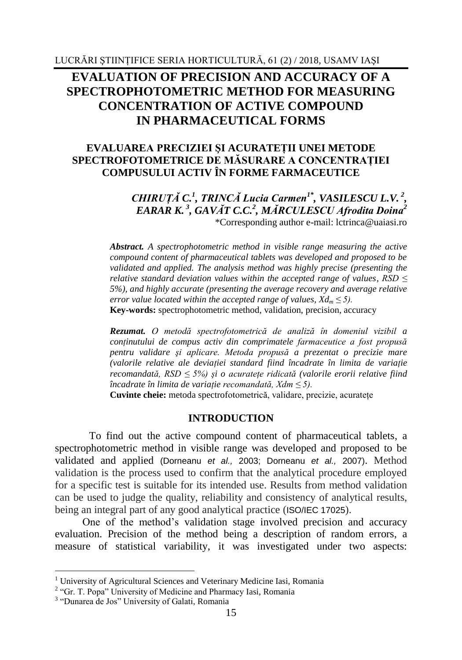# **EVALUATION OF PRECISION AND ACCURACY OF A SPECTROPHOTOMETRIC METHOD FOR MEASURING CONCENTRATION OF ACTIVE COMPOUND IN PHARMACEUTICAL FORMS**

## **EVALUAREA PRECIZIEI ŞI ACURATEŢII UNEI METODE SPECTROFOTOMETRICE DE MĂSURARE A CONCENTRAŢIEI COMPUSULUI ACTIV ÎN FORME FARMACEUTICE**

*CHIRUŢĂ C.<sup>1</sup> , TRINCĂ Lucia Carmen1\* , VASILESCU L.V. <sup>2</sup> , EARAR K. <sup>3</sup> , GAVĂT C.C.<sup>2</sup> , MĂRCULESCU Afrodita Doina<sup>2</sup>* \*Corresponding author e-mail: lctrinca@uaiasi.ro

*Abstract. A spectrophotometric method in visible range measuring the active compound content of pharmaceutical tablets was developed and proposed to be validated and applied. The analysis method was highly precise (presenting the relative standard deviation values within the accepted range of values, RSD ≤ 5%), and highly accurate (presenting the average recovery and average relative error value located within the accepted range of values,*  $Xd_m \leq 5$ *).* **Key-words:** spectrophotometric method, validation, precision, accuracy

*Rezumat. O metodă spectrofotometrică de analiză în domeniul vizibil a conţinutului de compus activ din comprimatele farmaceutice a fost propusă pentru validare şi aplicare. Metoda propusă a prezentat o precizie mare (valorile relative ale deviaţiei standard fiind încadrate în limita de variaţie recomandată, RSD ≤ 5%) şi o acurateţe ridicată (valorile erorii relative fiind încadrate în limita de variaţie recomandată, Xdm ≤ 5).*

Cuvinte cheie: metoda spectrofotometrică, validare, precizie, acuratete

## **INTRODUCTION**

To find out the active compound content of pharmaceutical tablets, a spectrophotometric method in visible range was developed and proposed to be validated and applied (Dorneanu *et al.,* 2003; Dorneanu *et al.,* 2007). Method validation is the process used to confirm that the analytical procedure employed for a specific test is suitable for its intended use. Results from method validation can be used to judge the quality, reliability and consistency of analytical results, being an integral part of any good analytical practice (ISO/IEC 17025).

One of the method's validation stage involved precision and accuracy evaluation. Precision of the method being a description of random errors, a measure of statistical variability, it was investigated under two aspects:

1

<sup>&</sup>lt;sup>1</sup> University of Agricultural Sciences and Veterinary Medicine Iasi, Romania

<sup>&</sup>lt;sup>2</sup> "Gr. T. Popa" University of Medicine and Pharmacy Iasi, Romania

<sup>&</sup>lt;sup>3</sup> "Dunarea de Jos" University of Galati, Romania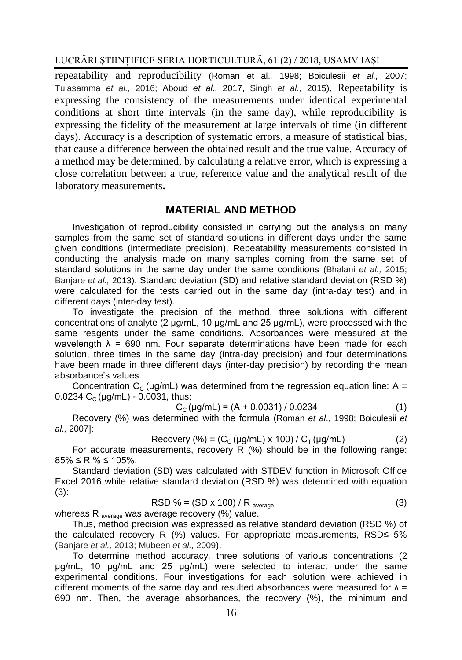LUCRĂRI ŞTIINŢIFICE SERIA HORTICULTURĂ, 61 (2) / 2018, USAMV IAŞI

repeatability and reproducibility (Roman et al.*,* 1998; Boiculesii *et al.,* 2007; Tulasamma *et al.,* 2016; Aboud *et al.,* 2017, Singh *et al.,* 2015). Repeatability is expressing the consistency of the measurements under identical experimental conditions at short time intervals (in the same day), while reproducibility is expressing the fidelity of the measurement at large intervals of time (in different days). Accuracy is a description of systematic errors, a measure of statistical bias, that cause a difference between the obtained result and the true value. Accuracy of a method may be determined, by calculating a relative error, which is expressing a close correlation between a true, reference value and the analytical result of the laboratory measurements**.**

# **MATERIAL AND METHOD**

Investigation of reproducibility consisted in carrying out the analysis on many samples from the same set of standard solutions in different days under the same given conditions (intermediate precision). Repeatability measurements consisted in conducting the analysis made on many samples coming from the same set of standard solutions in the same day under the same conditions (Bhalani *et al.,* 2015; Banjare *et al.,* 2013). Standard deviation (SD) and relative standard deviation (RSD %) were calculated for the tests carried out in the same day (intra-day test) and in different days (inter-day test).

To investigate the precision of the method, three solutions with different concentrations of analyte (2 μg/mL, 10 μg/mL and 25 μg/mL), were processed with the same reagents under the same conditions. Absorbances were measured at the wavelength  $\lambda$  = 690 nm. Four separate determinations have been made for each solution, three times in the same day (intra-day precision) and four determinations have been made in three different days (inter-day precision) by recording the mean absorbance's values.

Concentration  $C_c$  (µg/mL) was determined from the regression equation line: A = 0.0234  $C_c$  (µg/mL) - 0.0031, thus:

$$
C_{C}(\mu g/mL) = (A + 0.0031) / 0.0234
$$
 (1)

Recovery (%) was determined with the formula (Roman *et al*.*,* 1998; Boiculesii *et al.,* 2007]:

Recovery  $\left(\% \right) = \left( C_c \left( \frac{\mu q}{m} \right) \times 100 \right) / C_{\tau} \left( \frac{\mu q}{m} \right)$  (2)

For accurate measurements, recovery R (%) should be in the following range:  $85\% \leq R\% \leq 105\%$ .

Standard deviation (SD) was calculated with STDEV function in Microsoft Office Excel 2016 while relative standard deviation (RSD %) was determined with equation  $(3)$ :

$$
RSD % = (SD x 100) / Raverage
$$
 (3)

whereas R  $_{\text{average}}$  was average recovery (%) value.

Thus, method precision was expressed as relative standard deviation (RSD %) of the calculated recovery R (%) values. For appropriate measurements, RSD≤ 5% (Banjare *et al.,* 2013; Mubeen *et al.,* 2009).

To determine method accuracy*,* three solutions of various concentrations (2 μg/mL, 10 μg/mL and 25 μg/mL) were selected to interact under the same experimental conditions. Four investigations for each solution were achieved in different moments of the same day and resulted absorbances were measured for  $\lambda =$ 690 nm. Then, the average absorbances, the recovery (%), the minimum and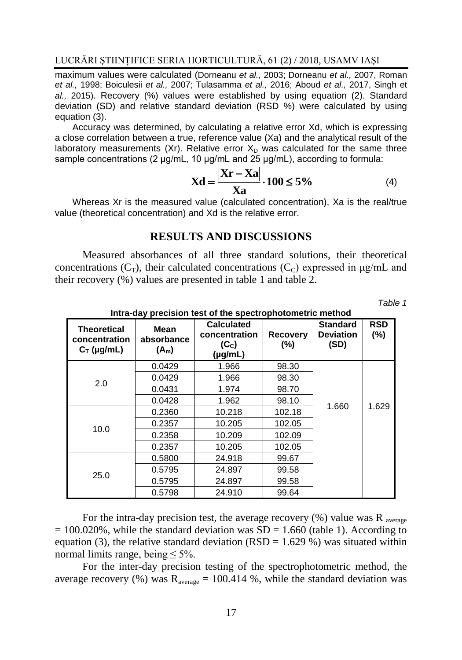maximum values were calculated (Dorneanu *et al.,* 2003; Dorneanu *et al.,* 2007, Roman *et al.,* 1998; Boiculesii *et al.,* 2007; Tulasamma *et al.,* 2016; Aboud *et al.,* 2017, Singh et *al.,* 2015). Recovery (%) values were established by using equation (2). Standard deviation (SD) and relative standard deviation (RSD %) were calculated by using equation (3).

Accuracy was determined, by calculating a relative error Xd, which is expressing a close correlation between a true, reference value (Xa) and the analytical result of the laboratory measurements (Xr). Relative error  $X<sub>D</sub>$  was calculated for the same three sample concentrations (2 μg/mL, 10 μg/mL and 25 μg/mL), according to formula:

$$
Xd = \frac{|Xr - Xa|}{Xa} \cdot 100 \le 5\% \tag{4}
$$

Whereas Xr is the measured value (calculated concentration), Xa is the real/true value (theoretical concentration) and Xd is the relative error.

## **RESULTS AND DISCUSSIONS**

Measured absorbances of all three standard solutions, their theoretical concentrations  $(C_T)$ , their calculated concentrations  $(C_C)$  expressed in  $\mu$ g/mL and their recovery (%) values are presented in table 1 and table 2.

*Table 1* 

| <b>Theoretical</b><br>concentration<br>$C_T$ (µg/mL) | Mean<br>absorbance<br>$(A_m)$ | <b>Calculated</b><br>concentration<br>(C <sub>c</sub> )<br>(µg/mL) | <b>Recovery</b><br>$(\%)$ | <b>Standard</b><br><b>Deviation</b><br>(SD) | <b>RSD</b><br>(%) |
|------------------------------------------------------|-------------------------------|--------------------------------------------------------------------|---------------------------|---------------------------------------------|-------------------|
| 2.0                                                  | 0.0429                        | 1.966                                                              | 98.30                     |                                             |                   |
|                                                      | 0.0429                        | 1.966                                                              | 98.30                     |                                             |                   |
|                                                      | 0.0431                        | 1.974                                                              | 98.70                     |                                             |                   |
|                                                      | 0.0428                        | 1.962                                                              | 98.10                     | 1.660                                       | 1.629             |
| 10.0                                                 | 0.2360                        | 10.218                                                             | 102.18                    |                                             |                   |
|                                                      | 0.2357                        | 10.205                                                             | 102.05                    |                                             |                   |
|                                                      | 0.2358                        | 10.209                                                             | 102.09                    |                                             |                   |
|                                                      | 0.2357                        | 10.205                                                             | 102.05                    |                                             |                   |
| 25.0                                                 | 0.5800                        | 24.918                                                             | 99.67                     |                                             |                   |
|                                                      | 0.5795                        | 24.897                                                             | 99.58                     |                                             |                   |
|                                                      | 0.5795                        | 24.897                                                             | 99.58                     |                                             |                   |
|                                                      | 0.5798                        | 24.910                                                             | 99.64                     |                                             |                   |

**Intra-day precision test of the spectrophotometric method**

For the intra-day precision test, the average recovery  $(\%)$  value was R average  $= 100.020\%$ , while the standard deviation was SD = 1.660 (table 1). According to equation (3), the relative standard deviation (RSD =  $1.629\%$ ) was situated within normal limits range, being  $\leq 5\%$ .

For the inter-day precision testing of the spectrophotometric method, the average recovery (%) was  $R_{average} = 100.414$  %, while the standard deviation was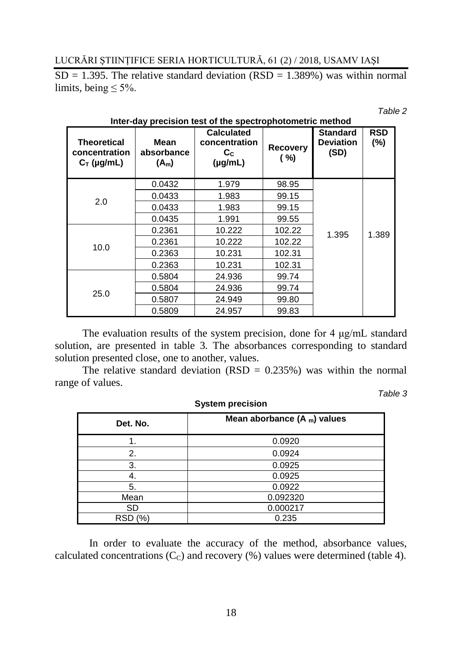LUCRĂRI ŞTIINŢIFICE SERIA HORTICULTURĂ, 61 (2) / 2018, USAMV IAŞI

 $SD = 1.395$ . The relative standard deviation (RSD = 1.389%) was within normal limits, being  $\leq 5\%$ .

**Inter-day precision test of the spectrophotometric method**

*Table 2* 

| <b>Theoretical</b><br>concentration<br>$C_T$ (µg/mL) | Mean<br>absorbance<br>$(A_m)$ | <b>Calculated</b><br>concentration<br>$\mathbf{c}_{\mathbf{c}}$<br>$(\mu g/mL)$ | <b>Recovery</b><br>( %) | <b>Standard</b><br><b>Deviation</b><br>(SD) | <b>RSD</b><br>$(\% )$ |
|------------------------------------------------------|-------------------------------|---------------------------------------------------------------------------------|-------------------------|---------------------------------------------|-----------------------|
| 2.0                                                  | 0.0432                        | 1.979                                                                           | 98.95                   |                                             |                       |
|                                                      | 0.0433                        | 1.983                                                                           | 99.15                   |                                             |                       |
|                                                      | 0.0433                        | 1.983                                                                           | 99.15                   |                                             |                       |
|                                                      | 0.0435                        | 1.991                                                                           | 99.55                   |                                             |                       |
| 10.0                                                 | 0.2361                        | 10.222                                                                          | 102.22                  | 1.395                                       | 1.389                 |
|                                                      | 0.2361                        | 10.222                                                                          | 102.22                  |                                             |                       |
|                                                      | 0.2363                        | 10.231                                                                          | 102.31                  |                                             |                       |
|                                                      | 0.2363                        | 10.231                                                                          | 102.31                  |                                             |                       |
| 25.0                                                 | 0.5804                        | 24.936                                                                          | 99.74                   |                                             |                       |
|                                                      | 0.5804                        | 24.936                                                                          | 99.74                   |                                             |                       |
|                                                      | 0.5807                        | 24.949                                                                          | 99.80                   |                                             |                       |
|                                                      | 0.5809                        | 24.957                                                                          | 99.83                   |                                             |                       |

The evaluation results of the system precision, done for 4 μg/mL standard solution, are presented in table 3. The absorbances corresponding to standard solution presented close, one to another, values.

The relative standard deviation (RSD =  $0.235\%$ ) was within the normal range of values.

**System precision**

*Table 3*

| Det. No.       | Mean aborbance $(A_m)$ values |  |
|----------------|-------------------------------|--|
|                | 0.0920                        |  |
| 2.             | 0.0924                        |  |
| 3.             | 0.0925                        |  |
|                | 0.0925                        |  |
| 5.             | 0.0922                        |  |
| Mean           | 0.092320                      |  |
| SD             | 0.000217                      |  |
| <b>RSD</b> (%) | 0.235                         |  |

In order to evaluate the accuracy of the method, absorbance values, calculated concentrations  $(C<sub>c</sub>)$  and recovery  $(\%)$  values were determined (table 4).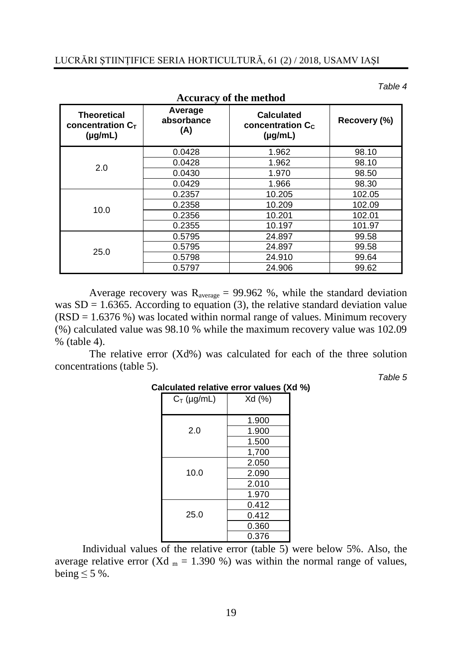*Table 4*

| <b>Theoretical</b><br>concentration $C_{T}$<br>$(\mu g/mL)$ | Average<br>absorbance<br>(A) | <b>Calculated</b><br>concentration C <sub>c</sub><br>$(\mu g/mL)$ | Recovery (%) |
|-------------------------------------------------------------|------------------------------|-------------------------------------------------------------------|--------------|
| 2.0                                                         | 0.0428                       | 1.962                                                             | 98.10        |
|                                                             | 0.0428                       | 1.962                                                             | 98.10        |
|                                                             | 0.0430                       | 1.970                                                             | 98.50        |
|                                                             | 0.0429                       | 1.966                                                             | 98.30        |
|                                                             | 0.2357                       | 10.205                                                            | 102.05       |
|                                                             | 0.2358                       | 10.209                                                            | 102.09       |
| 10.0                                                        | 0.2356                       | 10.201                                                            | 102.01       |
|                                                             | 0.2355                       | 10.197                                                            | 101.97       |
| 25.0                                                        | 0.5795                       | 24.897                                                            | 99.58        |
|                                                             | 0.5795                       | 24.897                                                            | 99.58        |
|                                                             | 0.5798                       | 24.910                                                            | 99.64        |
|                                                             | 0.5797                       | 24.906                                                            | 99.62        |

**Accuracy of the method**

Average recovery was  $R_{\text{average}} = 99.962$  %, while the standard deviation was  $SD = 1.6365$ . According to equation (3), the relative standard deviation value  $(RSD = 1.6376\%)$  was located within normal range of values. Minimum recovery (%) calculated value was 98.10 % while the maximum recovery value was 102.09 % (table 4).

The relative error (Xd%) was calculated for each of the three solution concentrations (table 5).

*Table 5*

| ווש סי<br>valucə ( <i>r</i> |        |  |
|-----------------------------|--------|--|
| $C_T$ (µg/mL)               | Xd (%) |  |
|                             | 1.900  |  |
| 2.0                         | 1.900  |  |
|                             | 1.500  |  |
|                             | 1,700  |  |
|                             | 2.050  |  |
| 10.0                        | 2.090  |  |
|                             | 2.010  |  |
|                             | 1.970  |  |
|                             | 0.412  |  |
| 25.0                        | 0.412  |  |
|                             | 0.360  |  |
|                             | 0.376  |  |

## **Calculated relative error values (Xd %)**

Individual values of the relative error (table 5) were below 5%. Also, the average relative error (Xd  $_m = 1.390$ %) was within the normal range of values, being  $\leq$  5 %.